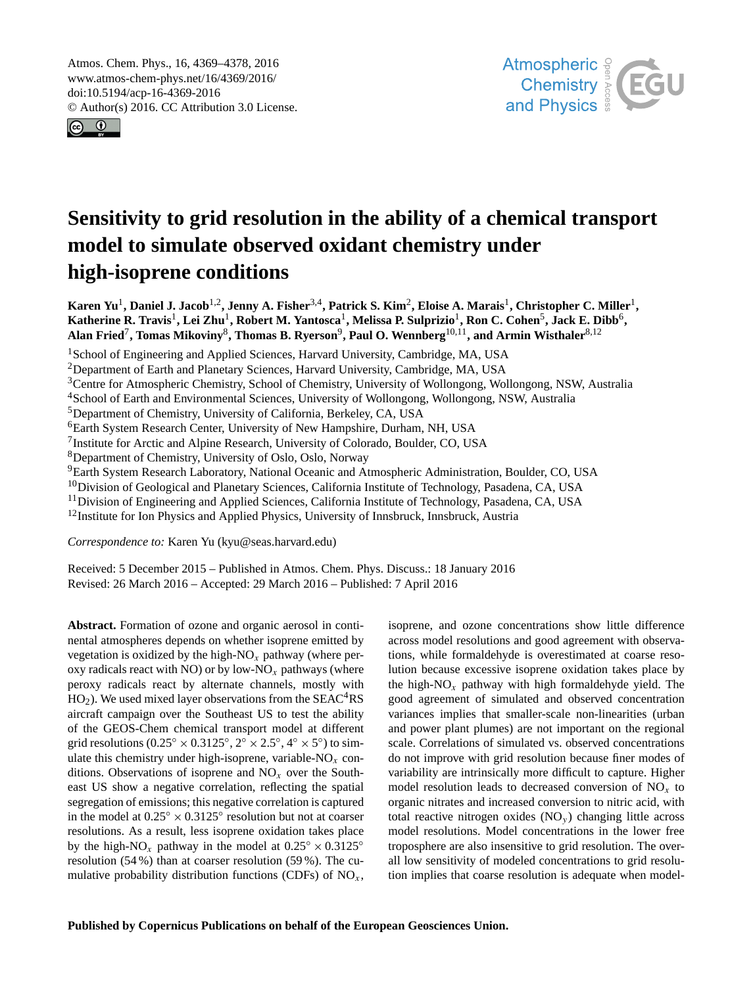<span id="page-0-1"></span>Atmos. Chem. Phys., 16, 4369–4378, 2016 www.atmos-chem-phys.net/16/4369/2016/ doi:10.5194/acp-16-4369-2016 © Author(s) 2016. CC Attribution 3.0 License.





# **Sensitivity to grid resolution in the ability of a chemical transport model to simulate observed oxidant chemistry under high-isoprene conditions**

 $K$ aren Yu<sup>[1](#page-0-0)</sup>, Daniel J. Jacob<sup>[1,2](#page-0-0)</sup>, Jenny A. Fisher<sup>[3,4](#page-0-0)</sup>, Patrick S. Kim<sup>[2](#page-0-0)</sup>, Eloise A. Marais<sup>1</sup>, Christopher C. Miller<sup>1</sup>,  $\kappa$ atherine R. Travis<sup>[1](#page-0-0)</sup>, Lei Zhu<sup>1</sup>, Robert M. Yantosca<sup>1</sup>, Melissa P. Sulprizio<sup>1</sup>, Ron C. Cohen<sup>[5](#page-0-0)</sup>, Jack E. Dibb<sup>[6](#page-0-0)</sup>, **Alan Fried**[7](#page-0-0) **, Tomas Mikoviny**[8](#page-0-0) **, Thomas B. Ryerson**[9](#page-0-0) **, Paul O. Wennberg**[10,11](#page-0-0)**, and Armin Wisthaler**[8,12](#page-0-0)

<sup>1</sup>School of Engineering and Applied Sciences, Harvard University, Cambridge, MA, USA

<sup>2</sup>Department of Earth and Planetary Sciences, Harvard University, Cambridge, MA, USA

<sup>3</sup>Centre for Atmospheric Chemistry, School of Chemistry, University of Wollongong, Wollongong, NSW, Australia

<sup>4</sup>School of Earth and Environmental Sciences, University of Wollongong, Wollongong, NSW, Australia

<sup>5</sup>Department of Chemistry, University of California, Berkeley, CA, USA

<sup>6</sup>Earth System Research Center, University of New Hampshire, Durham, NH, USA

<sup>7</sup> Institute for Arctic and Alpine Research, University of Colorado, Boulder, CO, USA

<sup>8</sup>Department of Chemistry, University of Oslo, Oslo, Norway

<sup>9</sup>Earth System Research Laboratory, National Oceanic and Atmospheric Administration, Boulder, CO, USA

<sup>10</sup>Division of Geological and Planetary Sciences, California Institute of Technology, Pasadena, CA, USA

<sup>11</sup>Division of Engineering and Applied Sciences, California Institute of Technology, Pasadena, CA, USA

 $12$ Institute for Ion Physics and Applied Physics, University of Innsbruck, Innsbruck, Austria

*Correspondence to:* Karen Yu (kyu@seas.harvard.edu)

Received: 5 December 2015 – Published in Atmos. Chem. Phys. Discuss.: 18 January 2016 Revised: 26 March 2016 – Accepted: 29 March 2016 – Published: 7 April 2016

<span id="page-0-0"></span>**Abstract.** Formation of ozone and organic aerosol in continental atmospheres depends on whether isoprene emitted by vegetation is oxidized by the high- $NO<sub>x</sub>$  pathway (where peroxy radicals react with NO) or by low-NO<sub>x</sub> pathways (where peroxy radicals react by alternate channels, mostly with  $HO<sub>2</sub>$ ). We used mixed layer observations from the SEAC<sup>4</sup>RS aircraft campaign over the Southeast US to test the ability of the GEOS-Chem chemical transport model at different grid resolutions  $(0.25^\circ \times 0.3125^\circ, 2^\circ \times 2.5^\circ, 4^\circ \times 5^\circ)$  to simulate this chemistry under high-isoprene, variable- $NO<sub>x</sub>$  conditions. Observations of isoprene and  $NO<sub>x</sub>$  over the Southeast US show a negative correlation, reflecting the spatial segregation of emissions; this negative correlation is captured in the model at  $0.25^\circ \times 0.3125^\circ$  resolution but not at coarser resolutions. As a result, less isoprene oxidation takes place by the high-NO<sub>x</sub> pathway in the model at  $0.25^\circ \times 0.3125^\circ$ resolution (54 %) than at coarser resolution (59 %). The cumulative probability distribution functions (CDFs) of  $NO<sub>x</sub>$ , isoprene, and ozone concentrations show little difference across model resolutions and good agreement with observations, while formaldehyde is overestimated at coarse resolution because excessive isoprene oxidation takes place by the high- $NO<sub>x</sub>$  pathway with high formaldehyde yield. The good agreement of simulated and observed concentration variances implies that smaller-scale non-linearities (urban and power plant plumes) are not important on the regional scale. Correlations of simulated vs. observed concentrations do not improve with grid resolution because finer modes of variability are intrinsically more difficult to capture. Higher model resolution leads to decreased conversion of  $NO<sub>x</sub>$  to organic nitrates and increased conversion to nitric acid, with total reactive nitrogen oxides  $(NO<sub>v</sub>)$  changing little across model resolutions. Model concentrations in the lower free troposphere are also insensitive to grid resolution. The overall low sensitivity of modeled concentrations to grid resolution implies that coarse resolution is adequate when model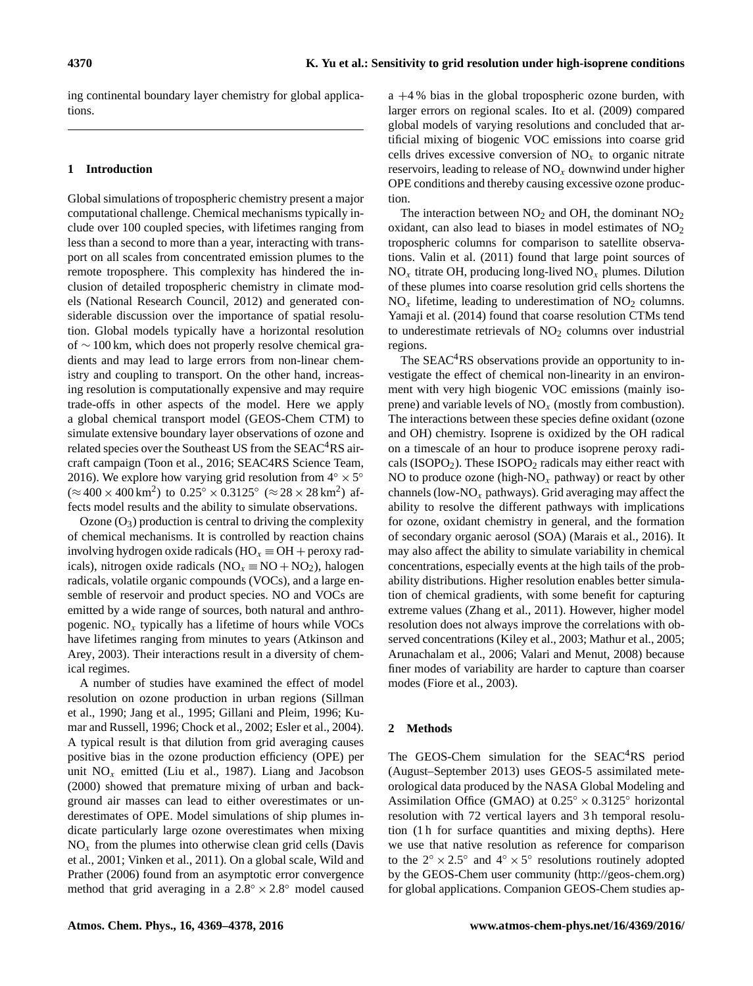ing continental boundary layer chemistry for global applications.

# **1 Introduction**

Global simulations of tropospheric chemistry present a major computational challenge. Chemical mechanisms typically include over 100 coupled species, with lifetimes ranging from less than a second to more than a year, interacting with transport on all scales from concentrated emission plumes to the remote troposphere. This complexity has hindered the inclusion of detailed tropospheric chemistry in climate models [\(National Research Council,](#page-8-0) [2012\)](#page-8-0) and generated considerable discussion over the importance of spatial resolution. Global models typically have a horizontal resolution of ∼ 100 km, which does not properly resolve chemical gradients and may lead to large errors from non-linear chemistry and coupling to transport. On the other hand, increasing resolution is computationally expensive and may require trade-offs in other aspects of the model. Here we apply a global chemical transport model (GEOS-Chem CTM) to simulate extensive boundary layer observations of ozone and related species over the Southeast US from the SEAC<sup>4</sup>RS aircraft campaign [\(Toon et al.,](#page-8-1) [2016;](#page-8-1) [SEAC4RS Science Team,](#page-8-2) [2016\)](#page-8-2). We explore how varying grid resolution from  $4^\circ \times 5^\circ$  $(\approx 400 \times 400 \text{ km}^2)$  to  $0.25^{\circ} \times 0.3125^{\circ}$  (≈ 28 × 28 km<sup>2</sup>) affects model results and the ability to simulate observations.

Ozone  $(O_3)$  production is central to driving the complexity of chemical mechanisms. It is controlled by reaction chains involving hydrogen oxide radicals ( $HO_x \equiv OH +$  peroxy radicals), nitrogen oxide radicals ( $NO_x \equiv NO + NO_2$ ), halogen radicals, volatile organic compounds (VOCs), and a large ensemble of reservoir and product species. NO and VOCs are emitted by a wide range of sources, both natural and anthropogenic.  $NO<sub>x</sub>$  typically has a lifetime of hours while VOCs have lifetimes ranging from minutes to years [\(Atkinson and](#page-7-0) [Arey,](#page-7-0) [2003\)](#page-7-0). Their interactions result in a diversity of chemical regimes.

A number of studies have examined the effect of model resolution on ozone production in urban regions [\(Sillman](#page-8-3) [et al.,](#page-8-3) [1990;](#page-8-3) [Jang et al.,](#page-8-4) [1995;](#page-8-4) [Gillani and Pleim,](#page-7-1) [1996;](#page-7-1) [Ku](#page-8-5)[mar and Russell,](#page-8-5) [1996;](#page-8-5) [Chock et al.,](#page-7-2) [2002;](#page-7-2) [Esler et al.,](#page-7-3) [2004\)](#page-7-3). A typical result is that dilution from grid averaging causes positive bias in the ozone production efficiency (OPE) per unit  $NO_x$  emitted [\(Liu et al.,](#page-8-6) [1987\)](#page-8-6). [Liang and Jacobson](#page-8-7) [\(2000\)](#page-8-7) showed that premature mixing of urban and background air masses can lead to either overestimates or underestimates of OPE. Model simulations of ship plumes indicate particularly large ozone overestimates when mixing  $NO<sub>x</sub>$  from the plumes into otherwise clean grid cells [\(Davis](#page-7-4) [et al.,](#page-7-4) [2001;](#page-7-4) [Vinken et al.,](#page-9-0) [2011\)](#page-9-0). On a global scale, [Wild and](#page-9-1) [Prather](#page-9-1) [\(2006\)](#page-9-1) found from an asymptotic error convergence method that grid averaging in a  $2.8° \times 2.8°$  model caused  $a +4%$  bias in the global tropospheric ozone burden, with larger errors on regional scales. [Ito et al.](#page-7-5) [\(2009\)](#page-7-5) compared global models of varying resolutions and concluded that artificial mixing of biogenic VOC emissions into coarse grid cells drives excessive conversion of  $NO<sub>x</sub>$  to organic nitrate reservoirs, leading to release of  $NO<sub>x</sub>$  downwind under higher OPE conditions and thereby causing excessive ozone production.

The interaction between  $NO<sub>2</sub>$  and OH, the dominant  $NO<sub>2</sub>$ oxidant, can also lead to biases in model estimates of  $NO<sub>2</sub>$ tropospheric columns for comparison to satellite observations. [Valin et al.](#page-9-2) [\(2011\)](#page-9-2) found that large point sources of  $NO<sub>x</sub>$  titrate OH, producing long-lived  $NO<sub>x</sub>$  plumes. Dilution of these plumes into coarse resolution grid cells shortens the  $NO<sub>x</sub>$  lifetime, leading to underestimation of  $NO<sub>2</sub>$  columns. [Yamaji et al.](#page-9-3) [\(2014\)](#page-9-3) found that coarse resolution CTMs tend to underestimate retrievals of  $NO<sub>2</sub>$  columns over industrial regions.

The SEAC<sup>4</sup>RS observations provide an opportunity to investigate the effect of chemical non-linearity in an environment with very high biogenic VOC emissions (mainly isoprene) and variable levels of  $NO<sub>x</sub>$  (mostly from combustion). The interactions between these species define oxidant (ozone and OH) chemistry. Isoprene is oxidized by the OH radical on a timescale of an hour to produce isoprene peroxy radicals (ISOPO<sub>2</sub>). These ISOPO<sub>2</sub> radicals may either react with NO to produce ozone (high-NO<sub>x</sub> pathway) or react by other channels (low-NO<sub>x</sub> pathways). Grid averaging may affect the ability to resolve the different pathways with implications for ozone, oxidant chemistry in general, and the formation of secondary organic aerosol (SOA) [\(Marais et al.,](#page-8-8) [2016\)](#page-8-8). It may also affect the ability to simulate variability in chemical concentrations, especially events at the high tails of the probability distributions. Higher resolution enables better simulation of chemical gradients, with some benefit for capturing extreme values [\(Zhang et al.,](#page-9-4) [2011\)](#page-9-4). However, higher model resolution does not always improve the correlations with observed concentrations [\(Kiley et al.,](#page-8-9) [2003;](#page-8-9) [Mathur et al.,](#page-8-10) [2005;](#page-8-10) [Arunachalam et al.,](#page-7-6) [2006;](#page-7-6) [Valari and Menut,](#page-9-5) [2008\)](#page-9-5) because finer modes of variability are harder to capture than coarser modes [\(Fiore et al.,](#page-7-7) [2003\)](#page-7-7).

# **2 Methods**

The GEOS-Chem simulation for the SEAC<sup>4</sup>RS period (August–September 2013) uses GEOS-5 assimilated meteorological data produced by the NASA Global Modeling and Assimilation Office (GMAO) at  $0.25^\circ \times 0.3125^\circ$  horizontal resolution with 72 vertical layers and 3 h temporal resolution (1 h for surface quantities and mixing depths). Here we use that native resolution as reference for comparison to the  $2^\circ \times 2.5^\circ$  and  $4^\circ \times 5^\circ$  resolutions routinely adopted by the GEOS-Chem user community [\(http://geos-chem.org\)](http://geos-chem.org) for global applications. Companion GEOS-Chem studies ap-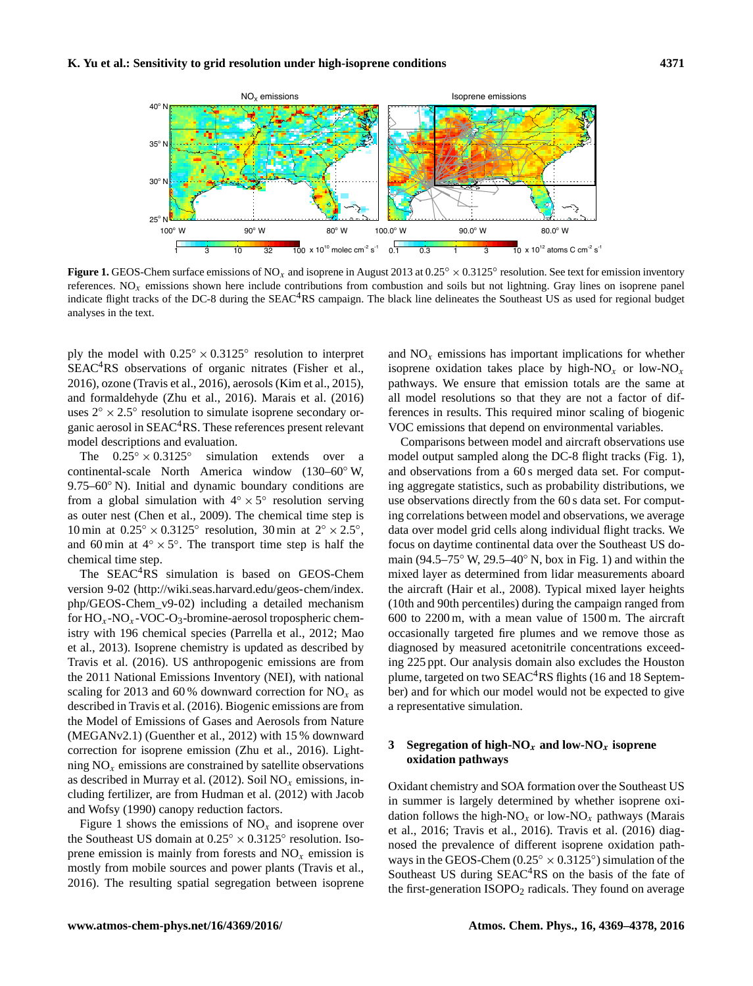

**Figure 1.** GEOS-Chem surface emissions of NO<sub>x</sub> and isoprene in August 2013 at  $0.25° \times 0.3125°$  resolution. See text for emission inventory references.  $NO<sub>x</sub>$  emissions shown here include contributions from combustion and soils but not lightning. Gray lines on isoprene panel indicate flight tracks of the DC-8 during the SEAC<sup>4</sup>RS campaign. The black line delineates the Southeast US as used for regional budget analyses in the text.

ply the model with  $0.25^{\circ} \times 0.3125^{\circ}$  resolution to interpret SEAC<sup>4</sup>RS observations of organic nitrates [\(Fisher et al.,](#page-7-8) [2016\)](#page-7-8), ozone [\(Travis et al.,](#page-9-6) [2016\)](#page-9-6), aerosols [\(Kim et al.,](#page-8-11) [2015\)](#page-8-11), and formaldehyde [\(Zhu et al.,](#page-9-7) [2016\)](#page-9-7). [Marais et al.](#page-8-8) [\(2016\)](#page-8-8) uses  $2^{\circ} \times 2.5^{\circ}$  resolution to simulate isoprene secondary organic aerosol in SEAC<sup>4</sup>RS. These references present relevant model descriptions and evaluation.

The  $0.25^\circ \times 0.3125^\circ$ simulation extends over continental-scale North America window (130–60◦ W, 9.75–60<sup>°</sup> N). Initial and dynamic boundary conditions are from a global simulation with  $4^\circ \times 5^\circ$  resolution serving as outer nest [\(Chen et al.,](#page-7-9) [2009\)](#page-7-9). The chemical time step is 10 min at  $0.25^\circ \times 0.3125^\circ$  resolution, 30 min at  $2^\circ \times 2.5^\circ$ , and 60 min at  $4° \times 5°$ . The transport time step is half the chemical time step.

The SEAC<sup>4</sup>RS simulation is based on GEOS-Chem version 9-02 [\(http://wiki.seas.harvard.edu/geos-chem/index.](http://wiki.seas.harvard.edu/geos-chem/index.php/GEOS-Chem_v9-02) [php/GEOS-Chem\\_v9-02\)](http://wiki.seas.harvard.edu/geos-chem/index.php/GEOS-Chem_v9-02) including a detailed mechanism for  $HO_x$ -NO<sub>x</sub>-VOC-O<sub>3</sub>-bromine-aerosol tropospheric chemistry with 196 chemical species [\(Parrella et al.,](#page-8-12) [2012;](#page-8-12) [Mao](#page-8-13) [et al.,](#page-8-13) [2013\)](#page-8-13). Isoprene chemistry is updated as described by [Travis et al.](#page-9-6) [\(2016\)](#page-9-6). US anthropogenic emissions are from the 2011 National Emissions Inventory (NEI), with national scaling for 2013 and 60 % downward correction for  $NO<sub>x</sub>$  as described in [Travis et al.](#page-9-6) [\(2016\)](#page-9-6). Biogenic emissions are from the Model of Emissions of Gases and Aerosols from Nature (MEGANv2.1) [\(Guenther et al.,](#page-7-10) [2012\)](#page-7-10) with 15 % downward correction for isoprene emission [\(Zhu et al.,](#page-9-7) [2016\)](#page-9-7). Lightning  $NO<sub>x</sub>$  emissions are constrained by satellite observations as described in [Murray et al.](#page-8-14) [\(2012\)](#page-8-14). Soil  $NO<sub>x</sub>$  emissions, including fertilizer, are from [Hudman et al.](#page-7-11) [\(2012\)](#page-7-11) with [Jacob](#page-8-15) [and Wofsy](#page-8-15) [\(1990\)](#page-8-15) canopy reduction factors.

Figure 1 shows the emissions of  $NO<sub>x</sub>$  and isoprene over the Southeast US domain at  $0.25^{\circ} \times 0.3125^{\circ}$  resolution. Isoprene emission is mainly from forests and  $NO<sub>x</sub>$  emission is mostly from mobile sources and power plants [\(Travis et al.,](#page-9-6) [2016\)](#page-9-6). The resulting spatial segregation between isoprene and  $NO<sub>x</sub>$  emissions has important implications for whether isoprene oxidation takes place by high-NO<sub>x</sub> or low-NO<sub>x</sub> pathways. We ensure that emission totals are the same at all model resolutions so that they are not a factor of differences in results. This required minor scaling of biogenic VOC emissions that depend on environmental variables.

Comparisons between model and aircraft observations use model output sampled along the DC-8 flight tracks (Fig. 1), and observations from a 60 s merged data set. For computing aggregate statistics, such as probability distributions, we use observations directly from the 60 s data set. For computing correlations between model and observations, we average data over model grid cells along individual flight tracks. We focus on daytime continental data over the Southeast US domain (94.5–75° W, 29.5–40° N, box in Fig. 1) and within the mixed layer as determined from lidar measurements aboard the aircraft [\(Hair et al.,](#page-7-12) [2008\)](#page-7-12). Typical mixed layer heights (10th and 90th percentiles) during the campaign ranged from 600 to 2200 m, with a mean value of 1500 m. The aircraft occasionally targeted fire plumes and we remove those as diagnosed by measured acetonitrile concentrations exceeding 225 ppt. Our analysis domain also excludes the Houston plume, targeted on two SEAC<sup>4</sup>RS flights (16 and 18 September) and for which our model would not be expected to give a representative simulation.

# **3 Segregation of high-NO**<sup>x</sup> **and low-NO**<sup>x</sup> **isoprene oxidation pathways**

Oxidant chemistry and SOA formation over the Southeast US in summer is largely determined by whether isoprene oxi-dation follows the high-NO<sub>x</sub> or low-NO<sub>x</sub> pathways [\(Marais](#page-8-8) [et al.,](#page-8-8) [2016;](#page-8-8) [Travis et al.,](#page-9-6) [2016\)](#page-9-6). [Travis et al.](#page-9-6) [\(2016\)](#page-9-6) diagnosed the prevalence of different isoprene oxidation pathways in the GEOS-Chem ( $0.25^\circ \times 0.3125^\circ$ ) simulation of the Southeast US during  $SEAC<sup>4</sup>RS$  on the basis of the fate of the first-generation ISOPO<sub>2</sub> radicals. They found on average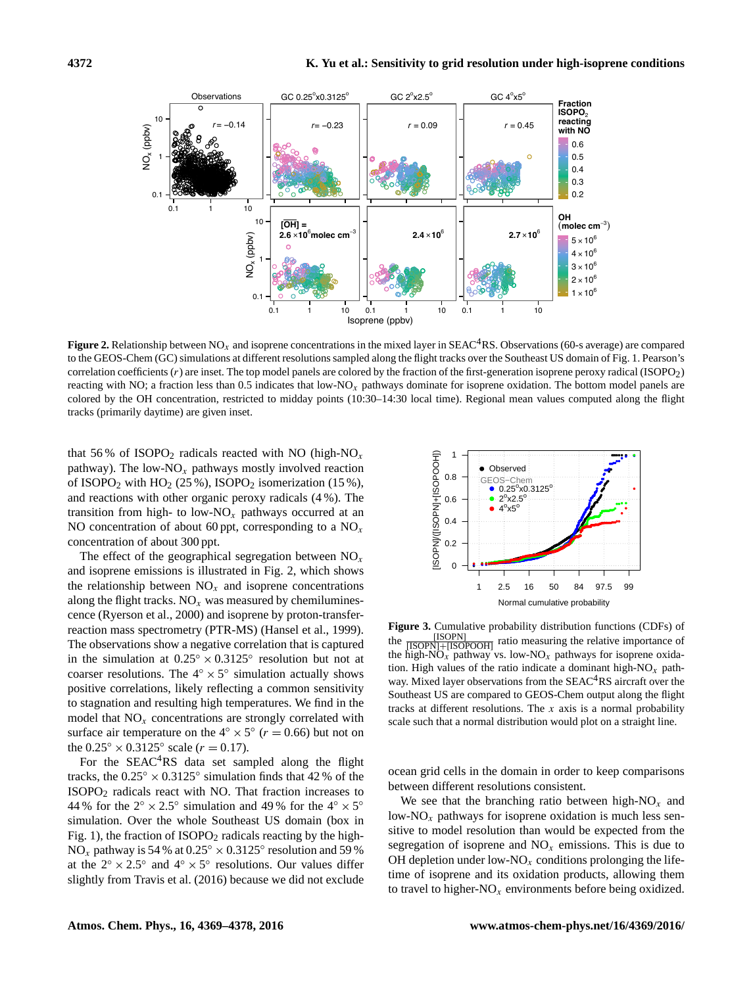

**Figure 2.** Relationship between  $NO_x$  and isoprene concentrations in the mixed layer in SEAC<sup>4</sup>RS. Observations (60-s average) are compared to the GEOS-Chem (GC) simulations at different resolutions sampled along the flight tracks over the Southeast US domain of Fig. 1. Pearson's correlation coefficients  $(r)$  are inset. The top model panels are colored by the fraction of the first-generation isoprene peroxy radical (ISOPO $_2$ ) reacting with NO; a fraction less than 0.5 indicates that  $low-NO<sub>x</sub>$  pathways dominate for isoprene oxidation. The bottom model panels are colored by the OH concentration, restricted to midday points (10:30–14:30 local time). Regional mean values computed along the flight tracks (primarily daytime) are given inset.

that 56% of ISOPO<sub>2</sub> radicals reacted with NO (high-NO<sub>x</sub> pathway). The low-NO<sub>x</sub> pathways mostly involved reaction of ISOPO<sub>2</sub> with  $HO_2$  (25 %), ISOPO<sub>2</sub> isomerization (15 %), and reactions with other organic peroxy radicals (4 %). The transition from high- to low- $NO<sub>x</sub>$  pathways occurred at an NO concentration of about 60 ppt, corresponding to a  $NO<sub>x</sub>$ concentration of about 300 ppt.

The effect of the geographical segregation between  $NO<sub>x</sub>$ and isoprene emissions is illustrated in Fig. 2, which shows the relationship between  $NO<sub>x</sub>$  and isoprene concentrations along the flight tracks.  $NO<sub>x</sub>$  was measured by chemiluminescence [\(Ryerson et al.,](#page-8-16) [2000\)](#page-8-16) and isoprene by proton-transferreaction mass spectrometry (PTR-MS) [\(Hansel et al.,](#page-7-13) [1999\)](#page-7-13). The observations show a negative correlation that is captured in the simulation at  $0.25^{\circ} \times 0.3125^{\circ}$  resolution but not at coarser resolutions. The  $4° \times 5°$  simulation actually shows positive correlations, likely reflecting a common sensitivity to stagnation and resulting high temperatures. We find in the model that  $NO<sub>x</sub>$  concentrations are strongly correlated with surface air temperature on the  $4° \times 5°$  ( $r = 0.66$ ) but not on the  $0.25^{\circ} \times 0.3125^{\circ}$  scale ( $r = 0.17$ ).

For the  $SEAC<sup>4</sup>RS$  data set sampled along the flight tracks, the  $0.25^{\circ} \times 0.3125^{\circ}$  simulation finds that 42 % of the ISOPO<sup>2</sup> radicals react with NO. That fraction increases to 44 % for the  $2^{\circ} \times 2.5^{\circ}$  simulation and 49 % for the  $4^{\circ} \times 5^{\circ}$ simulation. Over the whole Southeast US domain (box in Fig. 1), the fraction of  $ISOPO<sub>2</sub>$  radicals reacting by the high-NO<sub>x</sub> pathway is 54 % at  $0.25^{\circ} \times 0.3125^{\circ}$  resolution and 59 % at the  $2^\circ \times 2.5^\circ$  and  $4^\circ \times 5^\circ$  resolutions. Our values differ slightly from [Travis et al.](#page-9-6) [\(2016\)](#page-9-6) because we did not exclude



**Figure 3.** Cumulative probability distribution functions (CDFs) of the [ISOPN] [ISOPN] ratio measuring the relative importance of the high-NO<sub>x</sub> pathway vs. low-NO<sub>x</sub> pathways for isoprene oxidation. High values of the ratio indicate a dominant high-NO<sub>x</sub> pathway. Mixed layer observations from the SEAC<sup>4</sup>RS aircraft over the Southeast US are compared to GEOS-Chem output along the flight tracks at different resolutions. The  $x$  axis is a normal probability scale such that a normal distribution would plot on a straight line.

ocean grid cells in the domain in order to keep comparisons between different resolutions consistent.

We see that the branching ratio between high- $NO<sub>x</sub>$  and low-NO<sub>x</sub> pathways for isoprene oxidation is much less sensitive to model resolution than would be expected from the segregation of isoprene and  $NO<sub>x</sub>$  emissions. This is due to OH depletion under low- $NO<sub>x</sub>$  conditions prolonging the lifetime of isoprene and its oxidation products, allowing them to travel to higher- $NO<sub>x</sub>$  environments before being oxidized.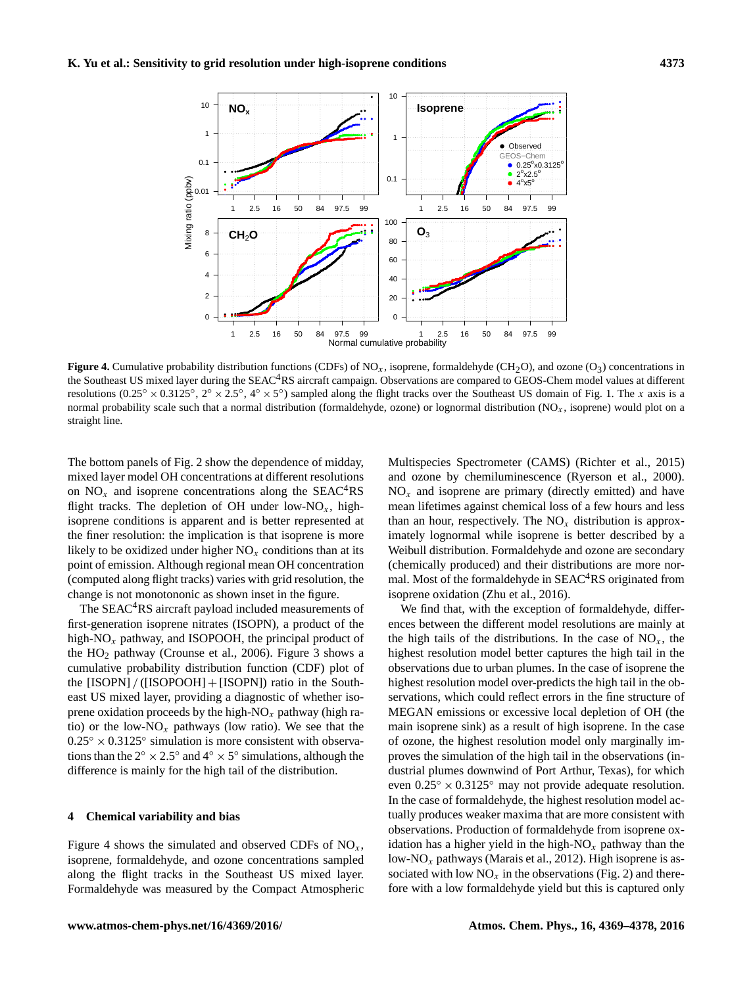

**Figure 4.** Cumulative probability distribution functions (CDFs) of  $NO<sub>x</sub>$ , isoprene, formaldehyde (CH<sub>2</sub>O), and ozone (O<sub>3</sub>) concentrations in the Southeast US mixed layer during the SEAC<sup>4</sup>RS aircraft campaign. Observations are compared to GEOS-Chem model values at different resolutions  $(0.25° \times 0.3125°, 2° \times 2.5°, 4° \times 5°)$  sampled along the flight tracks over the Southeast US domain of Fig. 1. The x axis is a normal probability scale such that a normal distribution (formaldehyde, ozone) or lognormal distribution  $(NO<sub>x</sub>)$ , isoprene) would plot on a straight line.

The bottom panels of Fig. 2 show the dependence of midday, mixed layer model OH concentrations at different resolutions on  $NO<sub>x</sub>$  and isoprene concentrations along the SEAC<sup>4</sup>RS flight tracks. The depletion of OH under low-NO<sub>x</sub>, highisoprene conditions is apparent and is better represented at the finer resolution: the implication is that isoprene is more likely to be oxidized under higher  $NO<sub>x</sub>$  conditions than at its point of emission. Although regional mean OH concentration (computed along flight tracks) varies with grid resolution, the change is not monotononic as shown inset in the figure.

The SEAC<sup>4</sup>RS aircraft payload included measurements of first-generation isoprene nitrates (ISOPN), a product of the high- $NO<sub>x</sub>$  pathway, and ISOPOOH, the principal product of the  $HO<sub>2</sub>$  pathway [\(Crounse et al.,](#page-7-14) [2006\)](#page-7-14). Figure 3 shows a cumulative probability distribution function (CDF) plot of the  $[ISOPN] / ([ISOPOOH] + [ISOPN])$  ratio in the Southeast US mixed layer, providing a diagnostic of whether isoprene oxidation proceeds by the high- $NO<sub>x</sub>$  pathway (high ratio) or the low-NO<sub>x</sub> pathways (low ratio). We see that the  $0.25^{\circ} \times 0.3125^{\circ}$  simulation is more consistent with observations than the  $2^{\circ} \times 2.5^{\circ}$  and  $4^{\circ} \times 5^{\circ}$  simulations, although the difference is mainly for the high tail of the distribution.

## **4 Chemical variability and bias**

Figure 4 shows the simulated and observed CDFs of  $NO<sub>x</sub>$ , isoprene, formaldehyde, and ozone concentrations sampled along the flight tracks in the Southeast US mixed layer. Formaldehyde was measured by the Compact Atmospheric Multispecies Spectrometer (CAMS) [\(Richter et al.,](#page-8-17) [2015\)](#page-8-17) and ozone by chemiluminescence [\(Ryerson et al.,](#page-8-16) [2000\)](#page-8-16).  $NO<sub>x</sub>$  and isoprene are primary (directly emitted) and have mean lifetimes against chemical loss of a few hours and less than an hour, respectively. The  $NO<sub>x</sub>$  distribution is approximately lognormal while isoprene is better described by a Weibull distribution. Formaldehyde and ozone are secondary (chemically produced) and their distributions are more normal. Most of the formaldehyde in  $SEAC<sup>4</sup>RS$  originated from isoprene oxidation [\(Zhu et al.,](#page-9-7) [2016\)](#page-9-7).

We find that, with the exception of formaldehyde, differences between the different model resolutions are mainly at the high tails of the distributions. In the case of  $NO<sub>x</sub>$ , the highest resolution model better captures the high tail in the observations due to urban plumes. In the case of isoprene the highest resolution model over-predicts the high tail in the observations, which could reflect errors in the fine structure of MEGAN emissions or excessive local depletion of OH (the main isoprene sink) as a result of high isoprene. In the case of ozone, the highest resolution model only marginally improves the simulation of the high tail in the observations (industrial plumes downwind of Port Arthur, Texas), for which even  $0.25° \times 0.3125°$  may not provide adequate resolution. In the case of formaldehyde, the highest resolution model actually produces weaker maxima that are more consistent with observations. Production of formaldehyde from isoprene oxidation has a higher yield in the high- $NO<sub>x</sub>$  pathway than the low-NO<sub>x</sub> pathways [\(Marais et al.,](#page-8-18) [2012\)](#page-8-18). High isoprene is associated with low  $NO_x$  in the observations (Fig. 2) and therefore with a low formaldehyde yield but this is captured only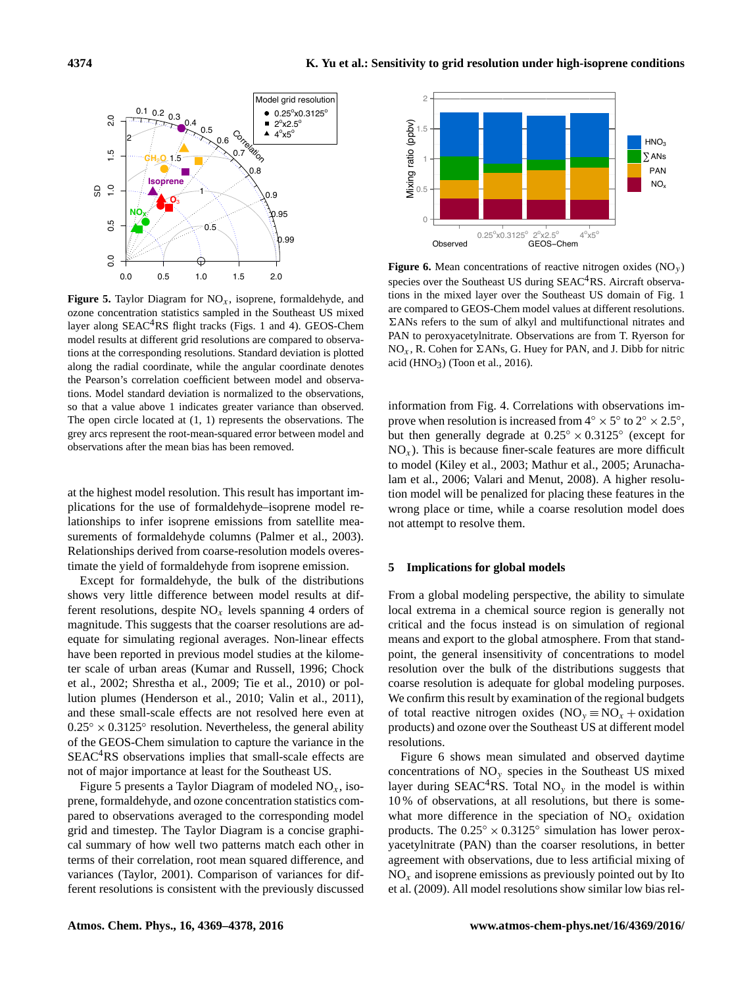

**Figure 5.** Taylor Diagram for  $NO_x$ , isoprene, formaldehyde, and ozone concentration statistics sampled in the Southeast US mixed layer along SEAC<sup>4</sup>RS flight tracks (Figs. 1 and 4). GEOS-Chem model results at different grid resolutions are compared to observations at the corresponding resolutions. Standard deviation is plotted along the radial coordinate, while the angular coordinate denotes the Pearson's correlation coefficient between model and observations. Model standard deviation is normalized to the observations, so that a value above 1 indicates greater variance than observed. The open circle located at (1, 1) represents the observations. The grey arcs represent the root-mean-squared error between model and observations after the mean bias has been removed.

at the highest model resolution. This result has important implications for the use of formaldehyde–isoprene model relationships to infer isoprene emissions from satellite measurements of formaldehyde columns [\(Palmer et al.,](#page-8-19) [2003\)](#page-8-19). Relationships derived from coarse-resolution models overestimate the yield of formaldehyde from isoprene emission.

Except for formaldehyde, the bulk of the distributions shows very little difference between model results at different resolutions, despite  $NO<sub>x</sub>$  levels spanning 4 orders of magnitude. This suggests that the coarser resolutions are adequate for simulating regional averages. Non-linear effects have been reported in previous model studies at the kilometer scale of urban areas [\(Kumar and Russell,](#page-8-5) [1996;](#page-8-5) [Chock](#page-7-2) [et al.,](#page-7-2) [2002;](#page-7-2) [Shrestha et al.,](#page-8-20) [2009;](#page-8-20) [Tie et al.,](#page-8-21) [2010\)](#page-8-21) or pollution plumes [\(Henderson et al.,](#page-7-15) [2010;](#page-7-15) [Valin et al.,](#page-9-2) [2011\)](#page-9-2), and these small-scale effects are not resolved here even at  $0.25^\circ \times 0.3125^\circ$  resolution. Nevertheless, the general ability of the GEOS-Chem simulation to capture the variance in the SEAC<sup>4</sup>RS observations implies that small-scale effects are not of major importance at least for the Southeast US.

Figure 5 presents a Taylor Diagram of modeled  $NO_x$ , isoprene, formaldehyde, and ozone concentration statistics compared to observations averaged to the corresponding model grid and timestep. The Taylor Diagram is a concise graphical summary of how well two patterns match each other in terms of their correlation, root mean squared difference, and variances [\(Taylor,](#page-8-22) [2001\)](#page-8-22). Comparison of variances for different resolutions is consistent with the previously discussed



species over the Southeast US during SEAC<sup>4</sup>RS. Aircraft observa-**Figure 6.** Mean concentrations of reactive nitrogen oxides  $(NO_y)$ acid  $(HNO<sub>3</sub>)$  [\(Toon et al.,](#page-8-1) [2016\)](#page-8-1). EXENS TORES to the sum of anyt and multifulcional mutates and PAN to peroxyacetylnitrate. Observations are from T. Ryerson for are compared to GEOS-Chem model values at different resolutions.  $\Sigma$ ANs refers to the sum of alkyl and multifunctional nitrates and  $NO<sub>x</sub>$ , R. Cohen for  $\Sigma ANs$ , G. Huey for PAN, and J. Dibb for nitric tions in the mixed layer over the Southeast US domain of Fig. 1

information from Fig. 4. Correlations with observations improve when resolution is increased from  $4° \times 5°$  to  $2° \times 2.5°$ , but then generally degrade at  $0.25^{\circ} \times 0.3125^{\circ}$  (except for  $NO<sub>x</sub>$ ). This is because finer-scale features are more difficult to model [\(Kiley et al.,](#page-8-9) [2003;](#page-8-9) [Mathur et al.,](#page-8-10) [2005;](#page-8-10) [Arunacha](#page-7-6)[lam et al.,](#page-7-6) [2006;](#page-7-6) [Valari and Menut,](#page-9-5) [2008\)](#page-9-5). A higher resolution model will be penalized for placing these features in the wrong place or time, while a coarse resolution model does not attempt to resolve them.

## **5 Implications for global models**

From a global modeling perspective, the ability to simulate local extrema in a chemical source region is generally not critical and the focus instead is on simulation of regional means and export to the global atmosphere. From that standpoint, the general insensitivity of concentrations to model resolution over the bulk of the distributions suggests that coarse resolution is adequate for global modeling purposes. We confirm this result by examination of the regional budgets of total reactive nitrogen oxides ( $NO_y \equiv NO_x +$  oxidation products) and ozone over the Southeast US at different model resolutions.

Figure 6 shows mean simulated and observed daytime concentrations of  $NO<sub>v</sub>$  species in the Southeast US mixed layer during SEAC<sup>4</sup>RS. Total NO<sub>y</sub> in the model is within 10 % of observations, at all resolutions, but there is somewhat more difference in the speciation of  $NO<sub>x</sub>$  oxidation products. The  $0.25^{\circ} \times 0.3125^{\circ}$  simulation has lower peroxyacetylnitrate (PAN) than the coarser resolutions, in better agreement with observations, due to less artificial mixing of  $NO<sub>x</sub>$  and isoprene emissions as previously pointed out by [Ito](#page-7-5) [et al.](#page-7-5) [\(2009\)](#page-7-5). All model resolutions show similar low bias rel-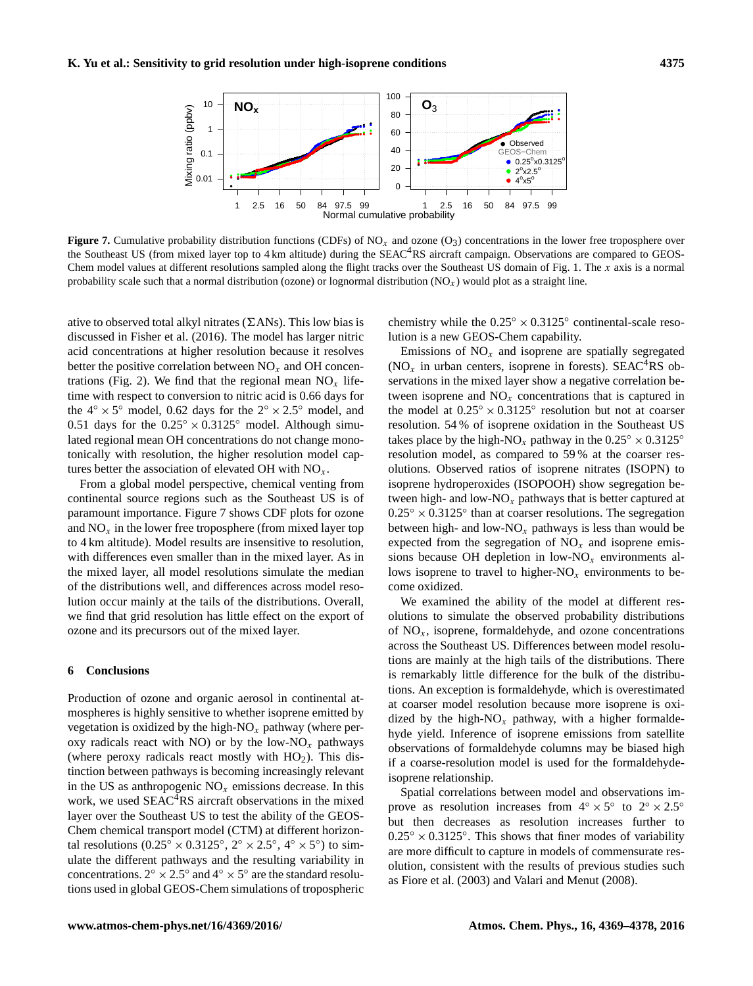

**Figure 7.** Cumulative probability distribution functions (CDFs) of  $NO_x$  and ozone ( $O_3$ ) concentrations in the lower free troposphere over the Southeast US (from mixed layer top to 4 km altitude) during the SEAC<sup>4</sup>RS aircraft campaign. Observations are compared to GEOS-Chem model values at different resolutions sampled along the flight tracks over the Southeast US domain of Fig. 1. The  $x$  axis is a normal probability scale such that a normal distribution (ozone) or lognormal distribution  $(NO<sub>x</sub>)$  would plot as a straight line.

ative to observed total alkyl nitrates ( $\Sigma ANs$ ). This low bias is discussed in [Fisher et al.](#page-7-8) [\(2016\)](#page-7-8). The model has larger nitric acid concentrations at higher resolution because it resolves better the positive correlation between  $NO<sub>x</sub>$  and OH concentrations (Fig. 2). We find that the regional mean  $NO<sub>x</sub>$  lifetime with respect to conversion to nitric acid is 0.66 days for the  $4° \times 5°$  model, 0.62 days for the  $2° \times 2.5°$  model, and 0.51 days for the  $0.25° \times 0.3125°$  model. Although simulated regional mean OH concentrations do not change monotonically with resolution, the higher resolution model captures better the association of elevated OH with  $NO<sub>x</sub>$ .

From a global model perspective, chemical venting from continental source regions such as the Southeast US is of paramount importance. Figure 7 shows CDF plots for ozone and  $NO<sub>x</sub>$  in the lower free troposphere (from mixed layer top to 4 km altitude). Model results are insensitive to resolution, with differences even smaller than in the mixed layer. As in the mixed layer, all model resolutions simulate the median of the distributions well, and differences across model resolution occur mainly at the tails of the distributions. Overall, we find that grid resolution has little effect on the export of ozone and its precursors out of the mixed layer.

### **6 Conclusions**

Production of ozone and organic aerosol in continental atmospheres is highly sensitive to whether isoprene emitted by vegetation is oxidized by the high- $NO<sub>x</sub>$  pathway (where peroxy radicals react with NO) or by the low-NO<sub>x</sub> pathways (where peroxy radicals react mostly with  $HO<sub>2</sub>$ ). This distinction between pathways is becoming increasingly relevant in the US as anthropogenic  $NO<sub>x</sub>$  emissions decrease. In this work, we used SEAC<sup>4</sup>RS aircraft observations in the mixed layer over the Southeast US to test the ability of the GEOS-Chem chemical transport model (CTM) at different horizontal resolutions  $(0.25^{\circ} \times 0.3125^{\circ}, 2^{\circ} \times 2.5^{\circ}, 4^{\circ} \times 5^{\circ})$  to simulate the different pathways and the resulting variability in concentrations.  $2^{\circ} \times 2.5^{\circ}$  and  $4^{\circ} \times 5^{\circ}$  are the standard resolutions used in global GEOS-Chem simulations of tropospheric

chemistry while the  $0.25^{\circ} \times 0.3125^{\circ}$  continental-scale resolution is a new GEOS-Chem capability.

Emissions of  $NO<sub>x</sub>$  and isoprene are spatially segregated  $(NO<sub>x</sub>$  in urban centers, isoprene in forests). SEAC<sup>4</sup>RS observations in the mixed layer show a negative correlation between isoprene and  $NO<sub>x</sub>$  concentrations that is captured in the model at  $0.25^{\circ} \times 0.3125^{\circ}$  resolution but not at coarser resolution. 54 % of isoprene oxidation in the Southeast US takes place by the high-NO<sub>x</sub> pathway in the  $0.25° \times 0.3125°$ resolution model, as compared to 59 % at the coarser resolutions. Observed ratios of isoprene nitrates (ISOPN) to isoprene hydroperoxides (ISOPOOH) show segregation between high- and low- $NO<sub>x</sub>$  pathways that is better captured at  $0.25^\circ \times 0.3125^\circ$  than at coarser resolutions. The segregation between high- and low- $NO<sub>x</sub>$  pathways is less than would be expected from the segregation of  $NO<sub>x</sub>$  and isoprene emissions because OH depletion in low-NO<sub>x</sub> environments allows isoprene to travel to higher- $NO<sub>x</sub>$  environments to become oxidized.

We examined the ability of the model at different resolutions to simulate the observed probability distributions of  $NO<sub>x</sub>$ , isoprene, formaldehyde, and ozone concentrations across the Southeast US. Differences between model resolutions are mainly at the high tails of the distributions. There is remarkably little difference for the bulk of the distributions. An exception is formaldehyde, which is overestimated at coarser model resolution because more isoprene is oxidized by the high-NO<sub>x</sub> pathway, with a higher formaldehyde yield. Inference of isoprene emissions from satellite observations of formaldehyde columns may be biased high if a coarse-resolution model is used for the formaldehydeisoprene relationship.

Spatial correlations between model and observations improve as resolution increases from  $4^\circ \times 5^\circ$  to  $2^\circ \times 2.5^\circ$ but then decreases as resolution increases further to  $0.25^\circ \times 0.3125^\circ$ . This shows that finer modes of variability are more difficult to capture in models of commensurate resolution, consistent with the results of previous studies such as [Fiore et al.](#page-7-7) [\(2003\)](#page-7-7) and [Valari and Menut](#page-9-5) [\(2008\)](#page-9-5).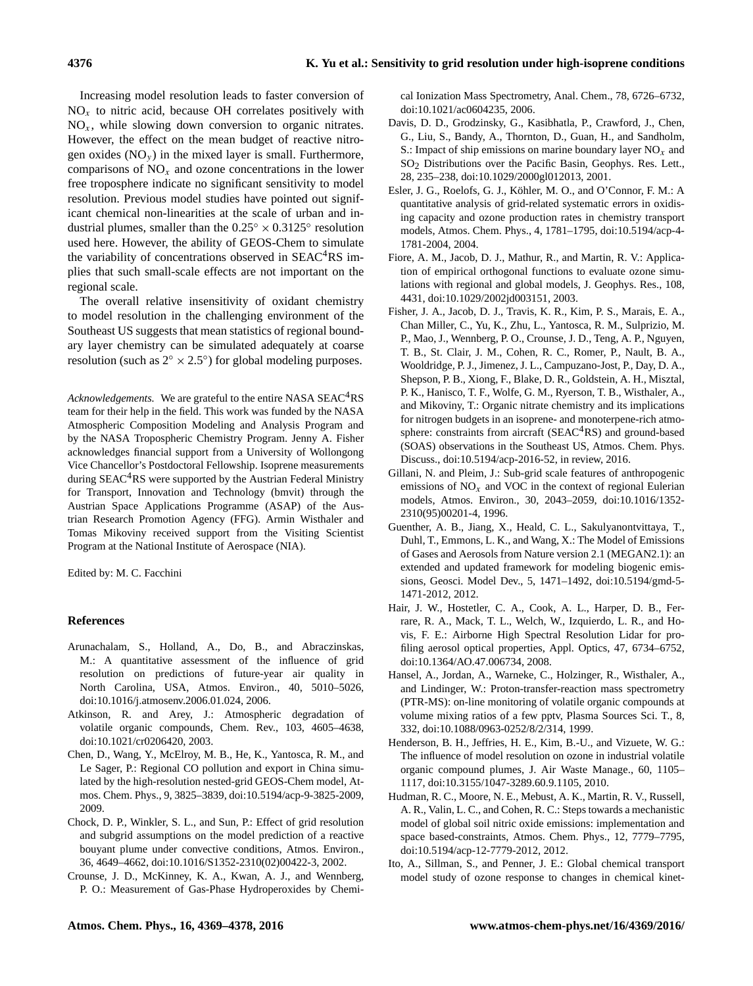Increasing model resolution leads to faster conversion of  $NO<sub>x</sub>$  to nitric acid, because OH correlates positively with  $NO<sub>x</sub>$ , while slowing down conversion to organic nitrates. However, the effect on the mean budget of reactive nitrogen oxides  $(NO<sub>y</sub>)$  in the mixed layer is small. Furthermore, comparisons of  $NO<sub>x</sub>$  and ozone concentrations in the lower free troposphere indicate no significant sensitivity to model resolution. Previous model studies have pointed out significant chemical non-linearities at the scale of urban and industrial plumes, smaller than the  $0.25^{\circ} \times 0.3125^{\circ}$  resolution used here. However, the ability of GEOS-Chem to simulate the variability of concentrations observed in SEAC4RS implies that such small-scale effects are not important on the regional scale.

The overall relative insensitivity of oxidant chemistry to model resolution in the challenging environment of the Southeast US suggests that mean statistics of regional boundary layer chemistry can be simulated adequately at coarse resolution (such as  $2^\circ \times 2.5^\circ$ ) for global modeling purposes.

*Acknowledgements.* We are grateful to the entire NASA SEAC<sup>4</sup>RS team for their help in the field. This work was funded by the NASA Atmospheric Composition Modeling and Analysis Program and by the NASA Tropospheric Chemistry Program. Jenny A. Fisher acknowledges financial support from a University of Wollongong Vice Chancellor's Postdoctoral Fellowship. Isoprene measurements during  $SEAC<sup>4</sup>RS$  were supported by the Austrian Federal Ministry for Transport, Innovation and Technology (bmvit) through the Austrian Space Applications Programme (ASAP) of the Austrian Research Promotion Agency (FFG). Armin Wisthaler and Tomas Mikoviny received support from the Visiting Scientist Program at the National Institute of Aerospace (NIA).

Edited by: M. C. Facchini

### **References**

- <span id="page-7-6"></span>Arunachalam, S., Holland, A., Do, B., and Abraczinskas, M.: A quantitative assessment of the influence of grid resolution on predictions of future-year air quality in North Carolina, USA, Atmos. Environ., 40, 5010–5026, doi[:10.1016/j.atmosenv.2006.01.024,](http://dx.doi.org/10.1016/j.atmosenv.2006.01.024) 2006.
- <span id="page-7-0"></span>Atkinson, R. and Arey, J.: Atmospheric degradation of volatile organic compounds, Chem. Rev., 103, 4605–4638, doi[:10.1021/cr0206420,](http://dx.doi.org/10.1021/cr0206420) 2003.
- <span id="page-7-9"></span>Chen, D., Wang, Y., McElroy, M. B., He, K., Yantosca, R. M., and Le Sager, P.: Regional CO pollution and export in China simulated by the high-resolution nested-grid GEOS-Chem model, Atmos. Chem. Phys., 9, 3825–3839, doi[:10.5194/acp-9-3825-2009,](http://dx.doi.org/10.5194/acp-9-3825-2009) 2009.
- <span id="page-7-2"></span>Chock, D. P., Winkler, S. L., and Sun, P.: Effect of grid resolution and subgrid assumptions on the model prediction of a reactive bouyant plume under convective conditions, Atmos. Environ., 36, 4649–4662, doi[:10.1016/S1352-2310\(02\)00422-3,](http://dx.doi.org/10.1016/S1352-2310(02)00422-3) 2002.
- <span id="page-7-14"></span>Crounse, J. D., McKinney, K. A., Kwan, A. J., and Wennberg, P. O.: Measurement of Gas-Phase Hydroperoxides by Chemi-

cal Ionization Mass Spectrometry, Anal. Chem., 78, 6726–6732, doi[:10.1021/ac0604235,](http://dx.doi.org/10.1021/ac0604235) 2006.

- <span id="page-7-4"></span>Davis, D. D., Grodzinsky, G., Kasibhatla, P., Crawford, J., Chen, G., Liu, S., Bandy, A., Thornton, D., Guan, H., and Sandholm, S.: Impact of ship emissions on marine boundary layer  $NO<sub>x</sub>$  and SO<sub>2</sub> Distributions over the Pacific Basin, Geophys. Res. Lett., 28, 235–238, doi[:10.1029/2000gl012013,](http://dx.doi.org/10.1029/2000gl012013) 2001.
- <span id="page-7-3"></span>Esler, J. G., Roelofs, G. J., Köhler, M. O., and O'Connor, F. M.: A quantitative analysis of grid-related systematic errors in oxidising capacity and ozone production rates in chemistry transport models, Atmos. Chem. Phys., 4, 1781–1795, doi[:10.5194/acp-4-](http://dx.doi.org/10.5194/acp-4-1781-2004) [1781-2004,](http://dx.doi.org/10.5194/acp-4-1781-2004) 2004.
- <span id="page-7-7"></span>Fiore, A. M., Jacob, D. J., Mathur, R., and Martin, R. V.: Application of empirical orthogonal functions to evaluate ozone simulations with regional and global models, J. Geophys. Res., 108, 4431, doi[:10.1029/2002jd003151,](http://dx.doi.org/10.1029/2002jd003151) 2003.
- <span id="page-7-8"></span>Fisher, J. A., Jacob, D. J., Travis, K. R., Kim, P. S., Marais, E. A., Chan Miller, C., Yu, K., Zhu, L., Yantosca, R. M., Sulprizio, M. P., Mao, J., Wennberg, P. O., Crounse, J. D., Teng, A. P., Nguyen, T. B., St. Clair, J. M., Cohen, R. C., Romer, P., Nault, B. A., Wooldridge, P. J., Jimenez, J. L., Campuzano-Jost, P., Day, D. A., Shepson, P. B., Xiong, F., Blake, D. R., Goldstein, A. H., Misztal, P. K., Hanisco, T. F., Wolfe, G. M., Ryerson, T. B., Wisthaler, A., and Mikoviny, T.: Organic nitrate chemistry and its implications for nitrogen budgets in an isoprene- and monoterpene-rich atmosphere: constraints from aircraft ( $SEAC<sup>4</sup>RS$ ) and ground-based (SOAS) observations in the Southeast US, Atmos. Chem. Phys. Discuss., doi[:10.5194/acp-2016-52,](http://dx.doi.org/10.5194/acp-2016-52) in review, 2016.
- <span id="page-7-1"></span>Gillani, N. and Pleim, J.: Sub-grid scale features of anthropogenic emissions of  $NO<sub>x</sub>$  and VOC in the context of regional Eulerian models, Atmos. Environ., 30, 2043–2059, doi[:10.1016/1352-](http://dx.doi.org/10.1016/1352-2310(95)00201-4) [2310\(95\)00201-4,](http://dx.doi.org/10.1016/1352-2310(95)00201-4) 1996.
- <span id="page-7-10"></span>Guenther, A. B., Jiang, X., Heald, C. L., Sakulyanontvittaya, T., Duhl, T., Emmons, L. K., and Wang, X.: The Model of Emissions of Gases and Aerosols from Nature version 2.1 (MEGAN2.1): an extended and updated framework for modeling biogenic emissions, Geosci. Model Dev., 5, 1471–1492, doi[:10.5194/gmd-5-](http://dx.doi.org/10.5194/gmd-5-1471-2012) [1471-2012,](http://dx.doi.org/10.5194/gmd-5-1471-2012) 2012.
- <span id="page-7-12"></span>Hair, J. W., Hostetler, C. A., Cook, A. L., Harper, D. B., Ferrare, R. A., Mack, T. L., Welch, W., Izquierdo, L. R., and Hovis, F. E.: Airborne High Spectral Resolution Lidar for profiling aerosol optical properties, Appl. Optics, 47, 6734–6752, doi[:10.1364/AO.47.006734,](http://dx.doi.org/10.1364/AO.47.006734) 2008.
- <span id="page-7-13"></span>Hansel, A., Jordan, A., Warneke, C., Holzinger, R., Wisthaler, A., and Lindinger, W.: Proton-transfer-reaction mass spectrometry (PTR-MS): on-line monitoring of volatile organic compounds at volume mixing ratios of a few pptv, Plasma Sources Sci. T., 8, 332, doi[:10.1088/0963-0252/8/2/314,](http://dx.doi.org/10.1088/0963-0252/8/2/314) 1999.
- <span id="page-7-15"></span>Henderson, B. H., Jeffries, H. E., Kim, B.-U., and Vizuete, W. G.: The influence of model resolution on ozone in industrial volatile organic compound plumes, J. Air Waste Manage., 60, 1105– 1117, doi[:10.3155/1047-3289.60.9.1105,](http://dx.doi.org/10.3155/1047-3289.60.9.1105) 2010.
- <span id="page-7-11"></span>Hudman, R. C., Moore, N. E., Mebust, A. K., Martin, R. V., Russell, A. R., Valin, L. C., and Cohen, R. C.: Steps towards a mechanistic model of global soil nitric oxide emissions: implementation and space based-constraints, Atmos. Chem. Phys., 12, 7779–7795, doi[:10.5194/acp-12-7779-2012,](http://dx.doi.org/10.5194/acp-12-7779-2012) 2012.
- <span id="page-7-5"></span>Ito, A., Sillman, S., and Penner, J. E.: Global chemical transport model study of ozone response to changes in chemical kinet-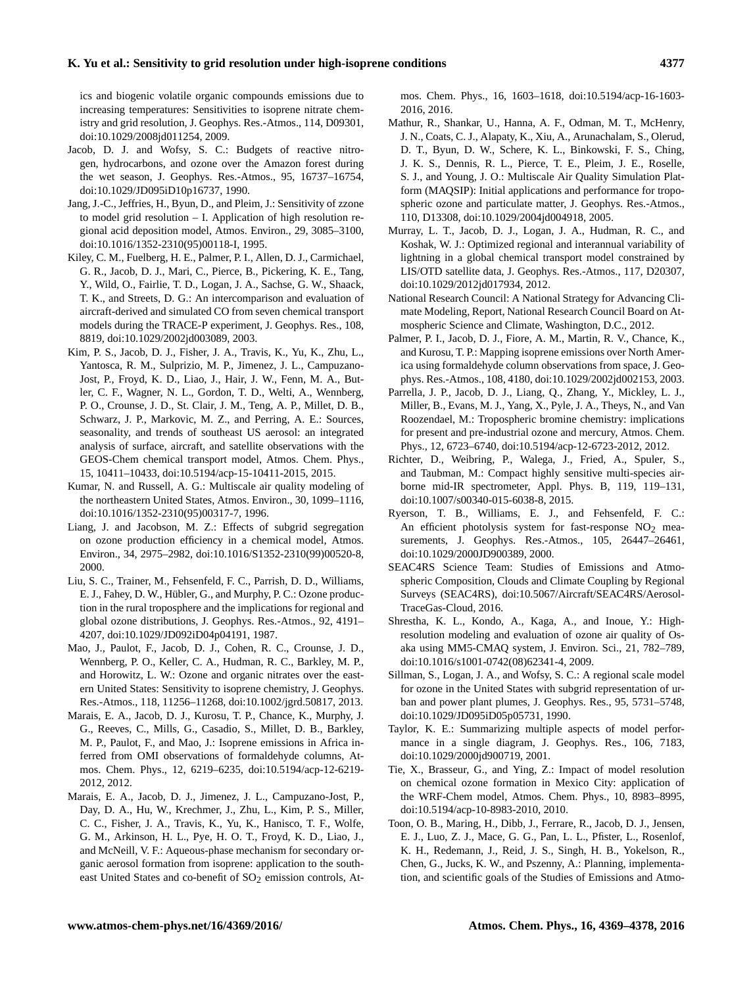#### **K. Yu et al.: Sensitivity to grid resolution under high-isoprene conditions 4377**

ics and biogenic volatile organic compounds emissions due to increasing temperatures: Sensitivities to isoprene nitrate chemistry and grid resolution, J. Geophys. Res.-Atmos., 114, D09301, doi[:10.1029/2008jd011254,](http://dx.doi.org/10.1029/2008jd011254) 2009.

- <span id="page-8-15"></span>Jacob, D. J. and Wofsy, S. C.: Budgets of reactive nitrogen, hydrocarbons, and ozone over the Amazon forest during the wet season, J. Geophys. Res.-Atmos., 95, 16737–16754, doi[:10.1029/JD095iD10p16737,](http://dx.doi.org/10.1029/JD095iD10p16737) 1990.
- <span id="page-8-4"></span>Jang, J.-C., Jeffries, H., Byun, D., and Pleim, J.: Sensitivity of zzone to model grid resolution – I. Application of high resolution regional acid deposition model, Atmos. Environ., 29, 3085–3100, doi[:10.1016/1352-2310\(95\)00118-I,](http://dx.doi.org/10.1016/1352-2310(95)00118-I) 1995.
- <span id="page-8-9"></span>Kiley, C. M., Fuelberg, H. E., Palmer, P. I., Allen, D. J., Carmichael, G. R., Jacob, D. J., Mari, C., Pierce, B., Pickering, K. E., Tang, Y., Wild, O., Fairlie, T. D., Logan, J. A., Sachse, G. W., Shaack, T. K., and Streets, D. G.: An intercomparison and evaluation of aircraft-derived and simulated CO from seven chemical transport models during the TRACE-P experiment, J. Geophys. Res., 108, 8819, doi[:10.1029/2002jd003089,](http://dx.doi.org/10.1029/2002jd003089) 2003.
- <span id="page-8-11"></span>Kim, P. S., Jacob, D. J., Fisher, J. A., Travis, K., Yu, K., Zhu, L., Yantosca, R. M., Sulprizio, M. P., Jimenez, J. L., Campuzano-Jost, P., Froyd, K. D., Liao, J., Hair, J. W., Fenn, M. A., Butler, C. F., Wagner, N. L., Gordon, T. D., Welti, A., Wennberg, P. O., Crounse, J. D., St. Clair, J. M., Teng, A. P., Millet, D. B., Schwarz, J. P., Markovic, M. Z., and Perring, A. E.: Sources, seasonality, and trends of southeast US aerosol: an integrated analysis of surface, aircraft, and satellite observations with the GEOS-Chem chemical transport model, Atmos. Chem. Phys., 15, 10411–10433, doi[:10.5194/acp-15-10411-2015,](http://dx.doi.org/10.5194/acp-15-10411-2015) 2015.
- <span id="page-8-5"></span>Kumar, N. and Russell, A. G.: Multiscale air quality modeling of the northeastern United States, Atmos. Environ., 30, 1099–1116, doi[:10.1016/1352-2310\(95\)00317-7,](http://dx.doi.org/10.1016/1352-2310(95)00317-7) 1996.
- <span id="page-8-7"></span>Liang, J. and Jacobson, M. Z.: Effects of subgrid segregation on ozone production efficiency in a chemical model, Atmos. Environ., 34, 2975–2982, doi[:10.1016/S1352-2310\(99\)00520-8,](http://dx.doi.org/10.1016/S1352-2310(99)00520-8) 2000.
- <span id="page-8-6"></span>Liu, S. C., Trainer, M., Fehsenfeld, F. C., Parrish, D. D., Williams, E. J., Fahey, D. W., Hübler, G., and Murphy, P. C.: Ozone production in the rural troposphere and the implications for regional and global ozone distributions, J. Geophys. Res.-Atmos., 92, 4191– 4207, doi[:10.1029/JD092iD04p04191,](http://dx.doi.org/10.1029/JD092iD04p04191) 1987.
- <span id="page-8-13"></span>Mao, J., Paulot, F., Jacob, D. J., Cohen, R. C., Crounse, J. D., Wennberg, P. O., Keller, C. A., Hudman, R. C., Barkley, M. P., and Horowitz, L. W.: Ozone and organic nitrates over the eastern United States: Sensitivity to isoprene chemistry, J. Geophys. Res.-Atmos., 118, 11256–11268, doi[:10.1002/jgrd.50817,](http://dx.doi.org/10.1002/jgrd.50817) 2013.
- <span id="page-8-18"></span>Marais, E. A., Jacob, D. J., Kurosu, T. P., Chance, K., Murphy, J. G., Reeves, C., Mills, G., Casadio, S., Millet, D. B., Barkley, M. P., Paulot, F., and Mao, J.: Isoprene emissions in Africa inferred from OMI observations of formaldehyde columns, Atmos. Chem. Phys., 12, 6219–6235, doi[:10.5194/acp-12-6219-](http://dx.doi.org/10.5194/acp-12-6219-2012) [2012,](http://dx.doi.org/10.5194/acp-12-6219-2012) 2012.
- <span id="page-8-8"></span>Marais, E. A., Jacob, D. J., Jimenez, J. L., Campuzano-Jost, P., Day, D. A., Hu, W., Krechmer, J., Zhu, L., Kim, P. S., Miller, C. C., Fisher, J. A., Travis, K., Yu, K., Hanisco, T. F., Wolfe, G. M., Arkinson, H. L., Pye, H. O. T., Froyd, K. D., Liao, J., and McNeill, V. F.: Aqueous-phase mechanism for secondary organic aerosol formation from isoprene: application to the southeast United States and co-benefit of  $SO<sub>2</sub>$  emission controls, At-

mos. Chem. Phys., 16, 1603–1618, doi[:10.5194/acp-16-1603-](http://dx.doi.org/10.5194/acp-16-1603-2016) [2016,](http://dx.doi.org/10.5194/acp-16-1603-2016) 2016.

- <span id="page-8-10"></span>Mathur, R., Shankar, U., Hanna, A. F., Odman, M. T., McHenry, J. N., Coats, C. J., Alapaty, K., Xiu, A., Arunachalam, S., Olerud, D. T., Byun, D. W., Schere, K. L., Binkowski, F. S., Ching, J. K. S., Dennis, R. L., Pierce, T. E., Pleim, J. E., Roselle, S. J., and Young, J. O.: Multiscale Air Quality Simulation Platform (MAQSIP): Initial applications and performance for tropospheric ozone and particulate matter, J. Geophys. Res.-Atmos., 110, D13308, doi[:10.1029/2004jd004918,](http://dx.doi.org/10.1029/2004jd004918) 2005.
- <span id="page-8-14"></span>Murray, L. T., Jacob, D. J., Logan, J. A., Hudman, R. C., and Koshak, W. J.: Optimized regional and interannual variability of lightning in a global chemical transport model constrained by LIS/OTD satellite data, J. Geophys. Res.-Atmos., 117, D20307, doi[:10.1029/2012jd017934,](http://dx.doi.org/10.1029/2012jd017934) 2012.
- <span id="page-8-0"></span>National Research Council: A National Strategy for Advancing Climate Modeling, Report, National Research Council Board on Atmospheric Science and Climate, Washington, D.C., 2012.
- <span id="page-8-19"></span>Palmer, P. I., Jacob, D. J., Fiore, A. M., Martin, R. V., Chance, K., and Kurosu, T. P.: Mapping isoprene emissions over North America using formaldehyde column observations from space, J. Geophys. Res.-Atmos., 108, 4180, doi[:10.1029/2002jd002153,](http://dx.doi.org/10.1029/2002jd002153) 2003.
- <span id="page-8-12"></span>Parrella, J. P., Jacob, D. J., Liang, Q., Zhang, Y., Mickley, L. J., Miller, B., Evans, M. J., Yang, X., Pyle, J. A., Theys, N., and Van Roozendael, M.: Tropospheric bromine chemistry: implications for present and pre-industrial ozone and mercury, Atmos. Chem. Phys., 12, 6723–6740, doi[:10.5194/acp-12-6723-2012,](http://dx.doi.org/10.5194/acp-12-6723-2012) 2012.
- <span id="page-8-17"></span>Richter, D., Weibring, P., Walega, J., Fried, A., Spuler, S., and Taubman, M.: Compact highly sensitive multi-species airborne mid-IR spectrometer, Appl. Phys. B, 119, 119–131, doi[:10.1007/s00340-015-6038-8,](http://dx.doi.org/10.1007/s00340-015-6038-8) 2015.
- <span id="page-8-16"></span>Ryerson, T. B., Williams, E. J., and Fehsenfeld, F. C.: An efficient photolysis system for fast-response  $NO<sub>2</sub>$  measurements, J. Geophys. Res.-Atmos., 105, 26447–26461, doi[:10.1029/2000JD900389,](http://dx.doi.org/10.1029/2000JD900389) 2000.
- <span id="page-8-2"></span>SEAC4RS Science Team: Studies of Emissions and Atmospheric Composition, Clouds and Climate Coupling by Regional Surveys (SEAC4RS), doi[:10.5067/Aircraft/SEAC4RS/Aerosol-](http://dx.doi.org/10.5067/Aircraft/SEAC4RS/Aerosol-TraceGas-Cloud)[TraceGas-Cloud,](http://dx.doi.org/10.5067/Aircraft/SEAC4RS/Aerosol-TraceGas-Cloud) 2016.
- <span id="page-8-20"></span>Shrestha, K. L., Kondo, A., Kaga, A., and Inoue, Y.: Highresolution modeling and evaluation of ozone air quality of Osaka using MM5-CMAQ system, J. Environ. Sci., 21, 782–789, doi[:10.1016/s1001-0742\(08\)62341-4,](http://dx.doi.org/10.1016/s1001-0742(08)62341-4) 2009.
- <span id="page-8-3"></span>Sillman, S., Logan, J. A., and Wofsy, S. C.: A regional scale model for ozone in the United States with subgrid representation of urban and power plant plumes, J. Geophys. Res., 95, 5731–5748, doi[:10.1029/JD095iD05p05731,](http://dx.doi.org/10.1029/JD095iD05p05731) 1990.
- <span id="page-8-22"></span>Taylor, K. E.: Summarizing multiple aspects of model performance in a single diagram, J. Geophys. Res., 106, 7183, doi[:10.1029/2000jd900719,](http://dx.doi.org/10.1029/2000jd900719) 2001.
- <span id="page-8-21"></span>Tie, X., Brasseur, G., and Ying, Z.: Impact of model resolution on chemical ozone formation in Mexico City: application of the WRF-Chem model, Atmos. Chem. Phys., 10, 8983–8995, doi[:10.5194/acp-10-8983-2010,](http://dx.doi.org/10.5194/acp-10-8983-2010) 2010.
- <span id="page-8-1"></span>Toon, O. B., Maring, H., Dibb, J., Ferrare, R., Jacob, D. J., Jensen, E. J., Luo, Z. J., Mace, G. G., Pan, L. L., Pfister, L., Rosenlof, K. H., Redemann, J., Reid, J. S., Singh, H. B., Yokelson, R., Chen, G., Jucks, K. W., and Pszenny, A.: Planning, implementation, and scientific goals of the Studies of Emissions and Atmo-